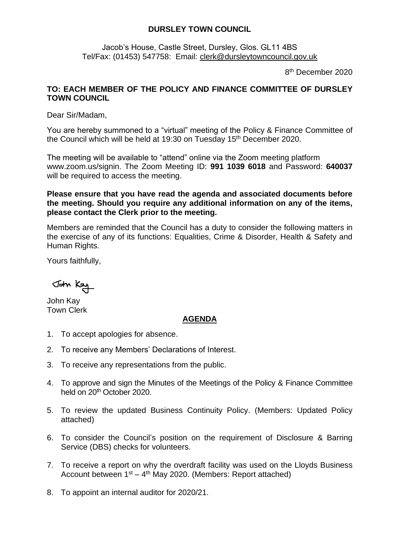## **DURSLEY TOWN COUNCIL**

Jacob's House, Castle Street, Dursley, Glos. GL11 4BS Tel/Fax: (01453) 547758: Email: [clerk@dursleytowncouncil.gov.uk](mailto:clerk@dursleytowncouncil.gov.uk)

8<sup>th</sup> December 2020

## **TO: EACH MEMBER OF THE POLICY AND FINANCE COMMITTEE OF DURSLEY TOWN COUNCIL**

Dear Sir/Madam,

You are hereby summoned to a "virtual" meeting of the Policy & Finance Committee of the Council which will be held at 19:30 on Tuesday 15<sup>th</sup> December 2020.

The meeting will be available to "attend" online via the Zoom meeting platform www.zoom.us/signin. The Zoom Meeting ID: **991 1039 6018** and Password: **640037** will be required to access the meeting.

**Please ensure that you have read the agenda and associated documents before the meeting. Should you require any additional information on any of the items, please contact the Clerk prior to the meeting.** 

Members are reminded that the Council has a duty to consider the following matters in the exercise of any of its functions: Equalities, Crime & Disorder, Health & Safety and Human Rights.

Yours faithfully,

John Kay

John Kay Town Clerk

## **AGENDA**

- 1. To accept apologies for absence.
- 2. To receive any Members' Declarations of Interest.
- 3. To receive any representations from the public.
- 4. To approve and sign the Minutes of the Meetings of the Policy & Finance Committee held on 20<sup>th</sup> October 2020.
- 5. To review the updated Business Continuity Policy. (Members: Updated Policy attached)
- 6. To consider the Council's position on the requirement of Disclosure & Barring Service (DBS) checks for volunteers.
- 7. To receive a report on why the overdraft facility was used on the Lloyds Business Account between 1<sup>st</sup> – 4<sup>th</sup> May 2020. (Members: Report attached)
- 8. To appoint an internal auditor for 2020/21.